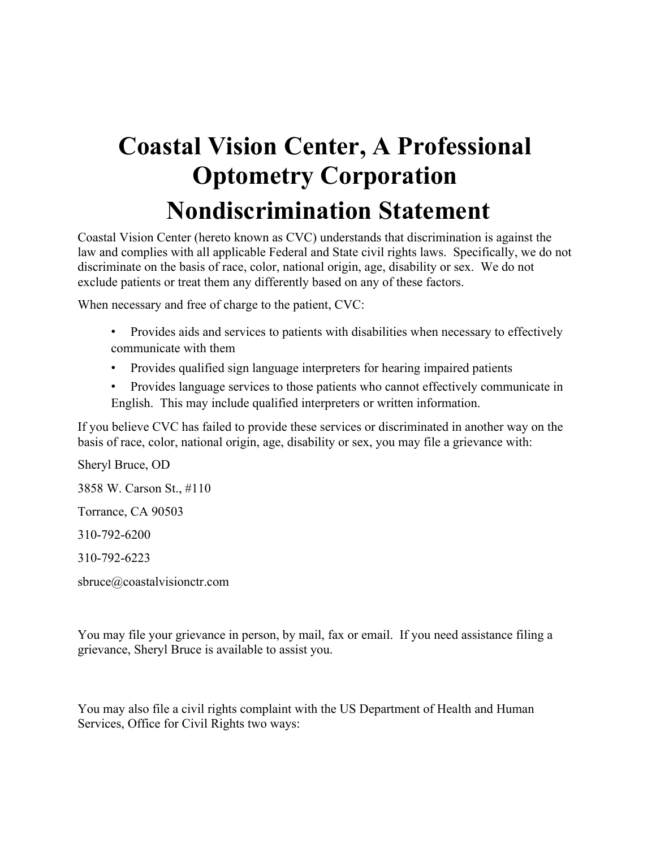## **Coastal Vision Center, A Professional Optometry Corporation Nondiscrimination Statement**

Coastal Vision Center (hereto known as CVC) understands that discrimination is against the law and complies with all applicable Federal and State civil rights laws. Specifically, we do not discriminate on the basis of race, color, national origin, age, disability or sex. We do not exclude patients or treat them any differently based on any of these factors.

When necessary and free of charge to the patient, CVC:

- Provides aids and services to patients with disabilities when necessary to effectively communicate with them
- Provides qualified sign language interpreters for hearing impaired patients
- Provides language services to those patients who cannot effectively communicate in English. This may include qualified interpreters or written information.

If you believe CVC has failed to provide these services or discriminated in another way on the basis of race, color, national origin, age, disability or sex, you may file a grievance with:

Sheryl Bruce, OD 3858 W. Carson St., #110 Torrance, CA 90503

310-792-6200

310-792-6223

sbruce@coastalvisionctr.com

You may file your grievance in person, by mail, fax or email. If you need assistance filing a grievance, Sheryl Bruce is available to assist you.

You may also file a civil rights complaint with the US Department of Health and Human Services, Office for Civil Rights two ways: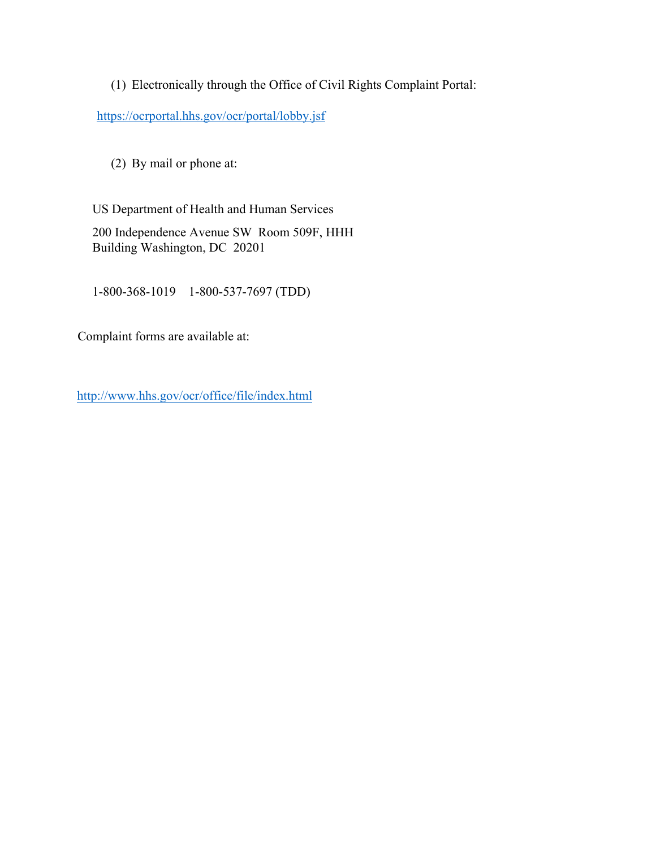(1) Electronically through the Office of Civil Rights Complaint Portal:

<https://ocrportal.hhs.gov/ocr/portal/lobby.jsf>

(2) By mail or phone at:

US Department of Health and Human Services 200 Independence Avenue SW Room 509F, HHH

Building Washington, DC 20201

1-800-368-1019 1-800-537-7697 (TDD)

Complaint forms are available at:

<http://www.hhs.gov/ocr/office/file/index.html>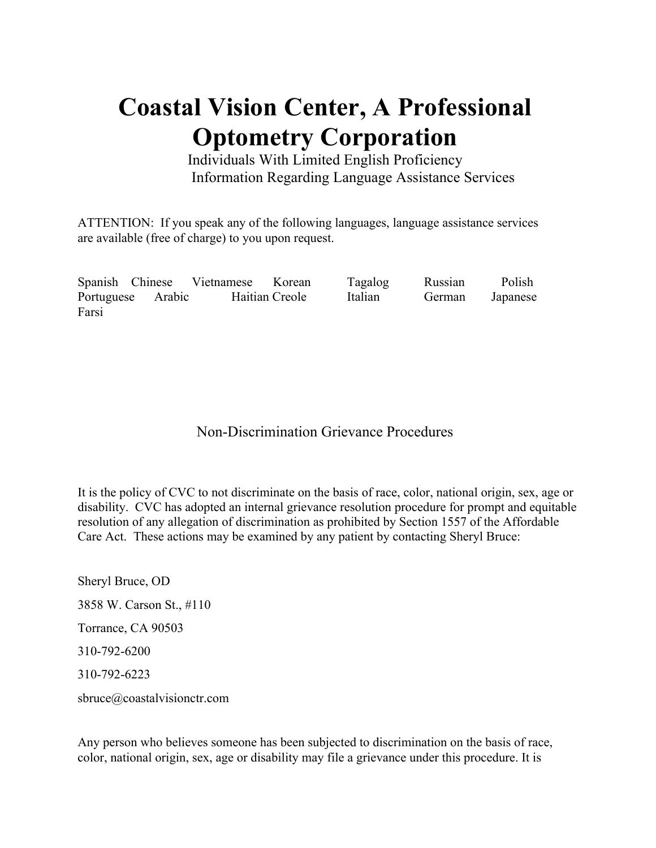## **Coastal Vision Center, A Professional Optometry Corporation**

Individuals With Limited English Proficiency Information Regarding Language Assistance Services

ATTENTION: If you speak any of the following languages, language assistance services are available (free of charge) to you upon request.

Spanish Chinese Vietnamese Korean Tagalog Russian Polish Portuguese Arabic Haitian Creole Italian German Japanese Farsi

## Non-Discrimination Grievance Procedures

It is the policy of CVC to not discriminate on the basis of race, color, national origin, sex, age or disability. CVC has adopted an internal grievance resolution procedure for prompt and equitable resolution of any allegation of discrimination as prohibited by Section 1557 of the Affordable Care Act. These actions may be examined by any patient by contacting Sheryl Bruce:

Sheryl Bruce, OD 3858 W. Carson St., #110 Torrance, CA 90503 310-792-6200 310-792-6223 sbruce@coastalvisionctr.com

Any person who believes someone has been subjected to discrimination on the basis of race, color, national origin, sex, age or disability may file a grievance under this procedure. It is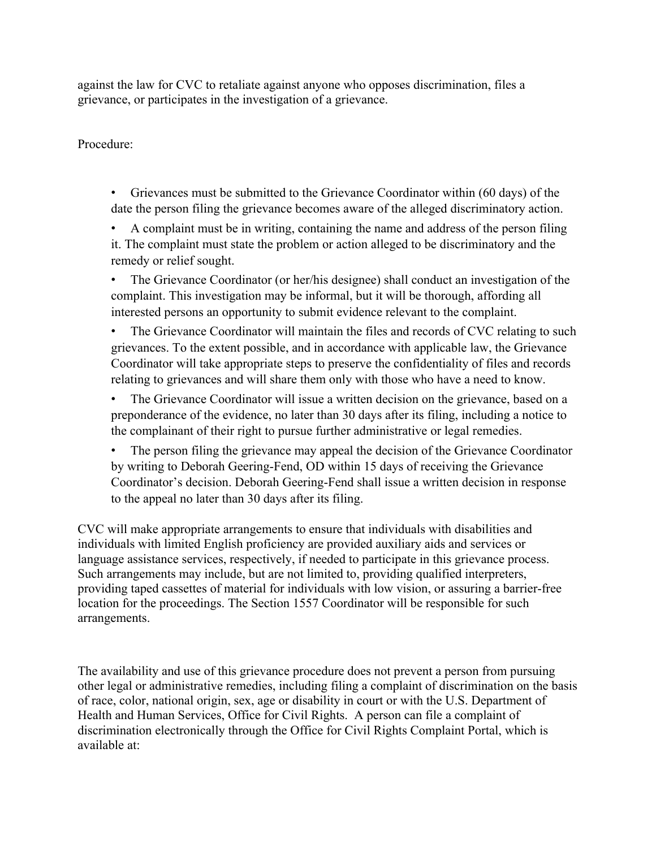against the law for CVC to retaliate against anyone who opposes discrimination, files a grievance, or participates in the investigation of a grievance.

Procedure:

• Grievances must be submitted to the Grievance Coordinator within (60 days) of the date the person filing the grievance becomes aware of the alleged discriminatory action.

• A complaint must be in writing, containing the name and address of the person filing it. The complaint must state the problem or action alleged to be discriminatory and the remedy or relief sought.

• The Grievance Coordinator (or her/his designee) shall conduct an investigation of the complaint. This investigation may be informal, but it will be thorough, affording all interested persons an opportunity to submit evidence relevant to the complaint.

The Grievance Coordinator will maintain the files and records of CVC relating to such grievances. To the extent possible, and in accordance with applicable law, the Grievance Coordinator will take appropriate steps to preserve the confidentiality of files and records relating to grievances and will share them only with those who have a need to know.

• The Grievance Coordinator will issue a written decision on the grievance, based on a preponderance of the evidence, no later than 30 days after its filing, including a notice to the complainant of their right to pursue further administrative or legal remedies.

The person filing the grievance may appeal the decision of the Grievance Coordinator by writing to Deborah Geering-Fend, OD within 15 days of receiving the Grievance Coordinator's decision. Deborah Geering-Fend shall issue a written decision in response to the appeal no later than 30 days after its filing.

CVC will make appropriate arrangements to ensure that individuals with disabilities and individuals with limited English proficiency are provided auxiliary aids and services or language assistance services, respectively, if needed to participate in this grievance process. Such arrangements may include, but are not limited to, providing qualified interpreters, providing taped cassettes of material for individuals with low vision, or assuring a barrier-free location for the proceedings. The Section 1557 Coordinator will be responsible for such arrangements.

The availability and use of this grievance procedure does not prevent a person from pursuing other legal or administrative remedies, including filing a complaint of discrimination on the basis of race, color, national origin, sex, age or disability in court or with the U.S. Department of Health and Human Services, Office for Civil Rights. A person can file a complaint of discrimination electronically through the Office for Civil Rights Complaint Portal, which is available at: